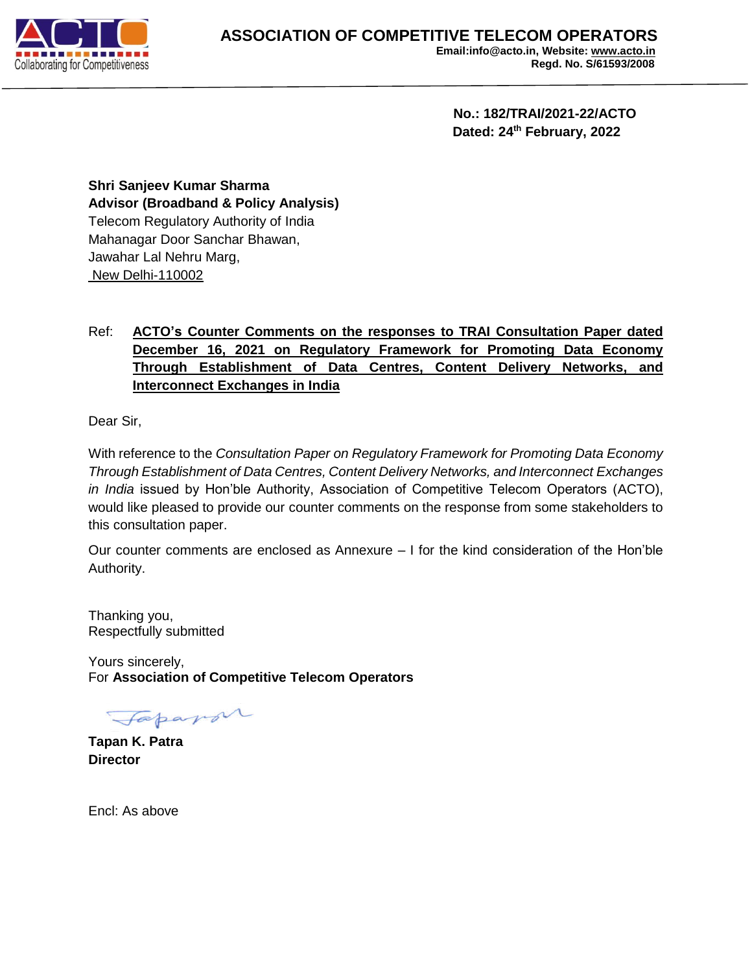

 **No.: 182/TRAI/2021-22/ACTO Dated: 24th February, 2022**

**Shri Sanjeev Kumar Sharma Advisor (Broadband & Policy Analysis)** Telecom Regulatory Authority of India Mahanagar Door Sanchar Bhawan, Jawahar Lal Nehru Marg, New Delhi-110002

## Ref: **ACTO's Counter Comments on the responses to TRAI Consultation Paper dated December 16, 2021 on Regulatory Framework for Promoting Data Economy Through Establishment of Data Centres, Content Delivery Networks, and Interconnect Exchanges in India**

Dear Sir,

With reference to the *Consultation Paper on Regulatory Framework for Promoting Data Economy Through Establishment of Data Centres, Content Delivery Networks, and Interconnect Exchanges in India* issued by Hon'ble Authority, Association of Competitive Telecom Operators (ACTO), would like pleased to provide our counter comments on the response from some stakeholders to this consultation paper.

Our counter comments are enclosed as Annexure – I for the kind consideration of the Hon'ble Authority.

Thanking you, Respectfully submitted

Yours sincerely, For **Association of Competitive Telecom Operators**

Japapor

**Tapan K. Patra Director**

Encl: As above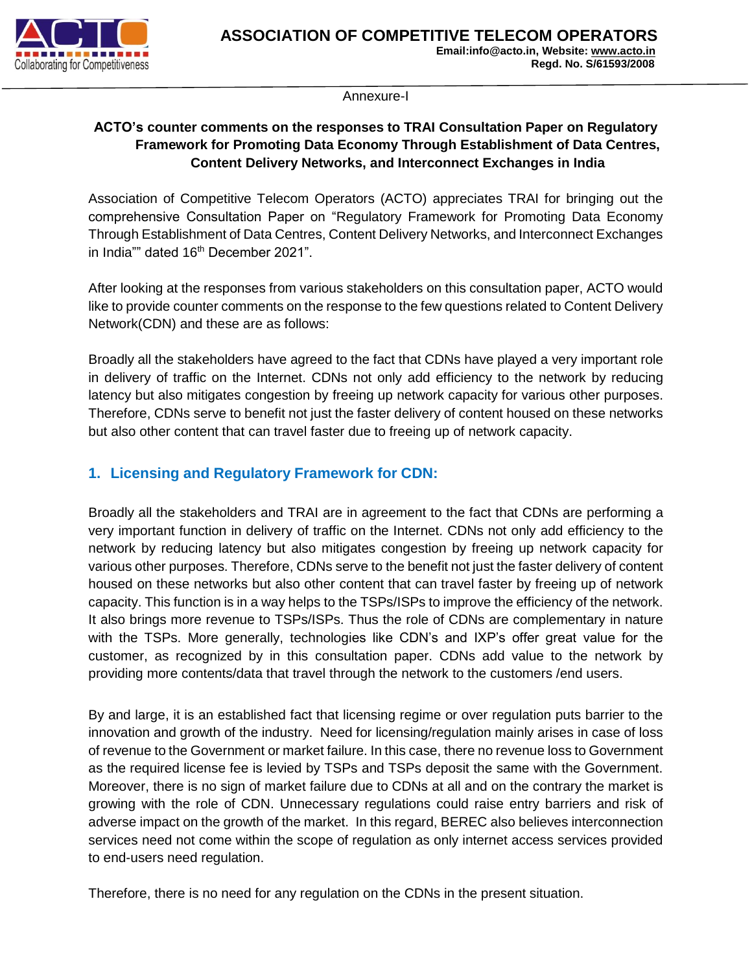

Annexure-I

### **ACTO's counter comments on the responses to TRAI Consultation Paper on Regulatory Framework for Promoting Data Economy Through Establishment of Data Centres, Content Delivery Networks, and Interconnect Exchanges in India**

Association of Competitive Telecom Operators (ACTO) appreciates TRAI for bringing out the comprehensive Consultation Paper on "Regulatory Framework for Promoting Data Economy Through Establishment of Data Centres, Content Delivery Networks, and Interconnect Exchanges in India"" dated 16<sup>th</sup> December 2021".

After looking at the responses from various stakeholders on this consultation paper, ACTO would like to provide counter comments on the response to the few questions related to Content Delivery Network(CDN) and these are as follows:

Broadly all the stakeholders have agreed to the fact that CDNs have played a very important role in delivery of traffic on the Internet. CDNs not only add efficiency to the network by reducing latency but also mitigates congestion by freeing up network capacity for various other purposes. Therefore, CDNs serve to benefit not just the faster delivery of content housed on these networks but also other content that can travel faster due to freeing up of network capacity.

# **1. Licensing and Regulatory Framework for CDN:**

Broadly all the stakeholders and TRAI are in agreement to the fact that CDNs are performing a very important function in delivery of traffic on the Internet. CDNs not only add efficiency to the network by reducing latency but also mitigates congestion by freeing up network capacity for various other purposes. Therefore, CDNs serve to the benefit not just the faster delivery of content housed on these networks but also other content that can travel faster by freeing up of network capacity. This function is in a way helps to the TSPs/ISPs to improve the efficiency of the network. It also brings more revenue to TSPs/ISPs. Thus the role of CDNs are complementary in nature with the TSPs. More generally, technologies like CDN's and IXP's offer great value for the customer, as recognized by in this consultation paper. CDNs add value to the network by providing more contents/data that travel through the network to the customers /end users.

By and large, it is an established fact that licensing regime or over regulation puts barrier to the innovation and growth of the industry. Need for licensing/regulation mainly arises in case of loss of revenue to the Government or market failure. In this case, there no revenue loss to Government as the required license fee is levied by TSPs and TSPs deposit the same with the Government. Moreover, there is no sign of market failure due to CDNs at all and on the contrary the market is growing with the role of CDN. Unnecessary regulations could raise entry barriers and risk of adverse impact on the growth of the market. In this regard, BEREC also believes interconnection services need not come within the scope of regulation as only internet access services provided to end-users need regulation.

Therefore, there is no need for any regulation on the CDNs in the present situation.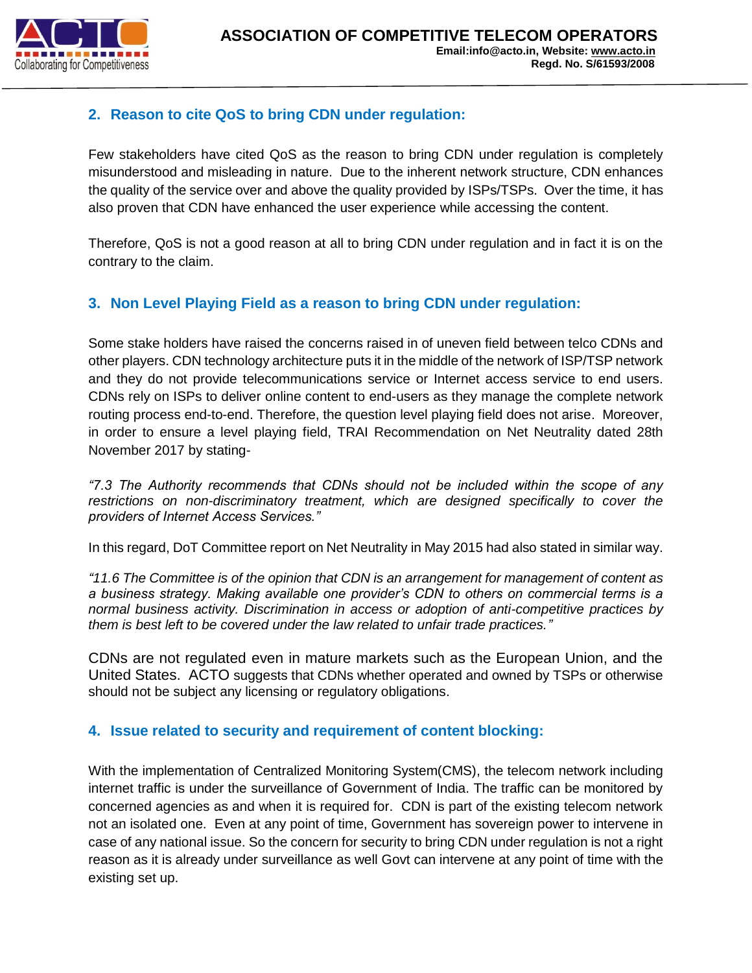

# **2. Reason to cite QoS to bring CDN under regulation:**

Few stakeholders have cited QoS as the reason to bring CDN under regulation is completely misunderstood and misleading in nature. Due to the inherent network structure, CDN enhances the quality of the service over and above the quality provided by ISPs/TSPs. Over the time, it has also proven that CDN have enhanced the user experience while accessing the content.

Therefore, QoS is not a good reason at all to bring CDN under regulation and in fact it is on the contrary to the claim.

## **3. Non Level Playing Field as a reason to bring CDN under regulation:**

Some stake holders have raised the concerns raised in of uneven field between telco CDNs and other players. CDN technology architecture puts it in the middle of the network of ISP/TSP network and they do not provide telecommunications service or Internet access service to end users. CDNs rely on ISPs to deliver online content to end-users as they manage the complete network routing process end-to-end. Therefore, the question level playing field does not arise. Moreover, in order to ensure a level playing field, TRAI Recommendation on Net Neutrality dated 28th November 2017 by stating-

*"7.3 The Authority recommends that CDNs should not be included within the scope of any restrictions on non-discriminatory treatment, which are designed specifically to cover the providers of Internet Access Services."*

In this regard, DoT Committee report on Net Neutrality in May 2015 had also stated in similar way.

*"11.6 The Committee is of the opinion that CDN is an arrangement for management of content as a business strategy. Making available one provider's CDN to others on commercial terms is a normal business activity. Discrimination in access or adoption of anti-competitive practices by them is best left to be covered under the law related to unfair trade practices."*

CDNs are not regulated even in mature markets such as the European Union, and the United States. ACTO suggests that CDNs whether operated and owned by TSPs or otherwise should not be subject any licensing or regulatory obligations.

#### **4. Issue related to security and requirement of content blocking:**

With the implementation of Centralized Monitoring System(CMS), the telecom network including internet traffic is under the surveillance of Government of India. The traffic can be monitored by concerned agencies as and when it is required for. CDN is part of the existing telecom network not an isolated one. Even at any point of time, Government has sovereign power to intervene in case of any national issue. So the concern for security to bring CDN under regulation is not a right reason as it is already under surveillance as well Govt can intervene at any point of time with the existing set up.